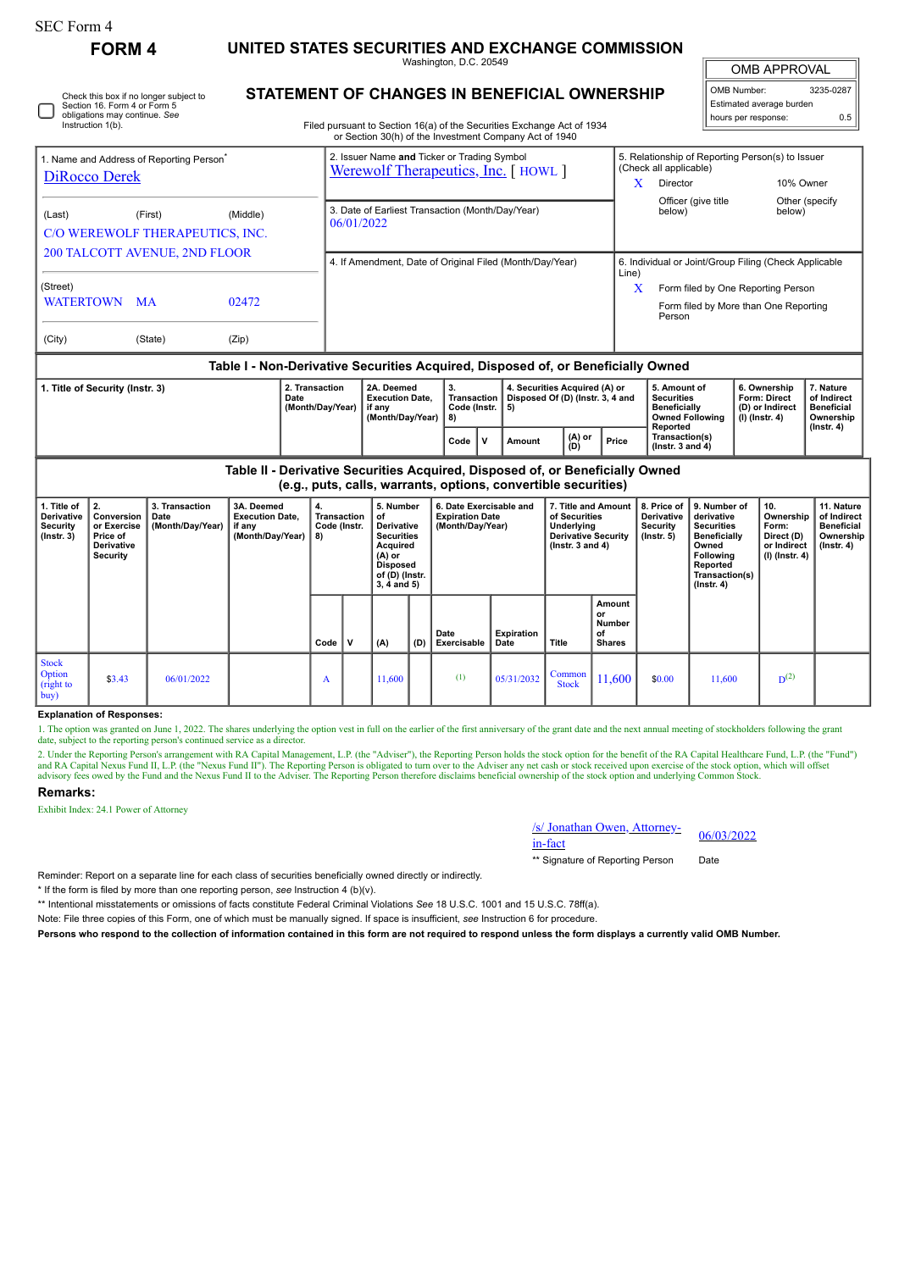Check this box if no longer subject to Section 16. Form 4 or Form 5 obligations may continue. *See* Instruction 1(b).

**FORM 4 UNITED STATES SECURITIES AND EXCHANGE COMMISSION**

Washington, D.C. 20549 **STATEMENT OF CHANGES IN BENEFICIAL OWNERSHIP**

OMB APPROVAL

| OMB Number:<br>3235-0287 |     |  |  |  |  |  |  |
|--------------------------|-----|--|--|--|--|--|--|
| Estimated average burden |     |  |  |  |  |  |  |
| hours per response:      | 0.5 |  |  |  |  |  |  |

Filed pursuant to Section 16(a) of the Securities Exchange Act of 1934

|                                                                                  |         |          |                        | or Section 30(h) of the Investment Company Act of 1940                            |    |                                                                                 |                                                                            |                                                 |                                     |                          |  |  |
|----------------------------------------------------------------------------------|---------|----------|------------------------|-----------------------------------------------------------------------------------|----|---------------------------------------------------------------------------------|----------------------------------------------------------------------------|-------------------------------------------------|-------------------------------------|--------------------------|--|--|
| 1. Name and Address of Reporting Person <sup>®</sup>                             |         |          |                        | 2. Issuer Name and Ticker or Trading Symbol<br>Werewolf Therapeutics, Inc. [HOWL] |    |                                                                                 | 5. Relationship of Reporting Person(s) to Issuer<br>(Check all applicable) |                                                 |                                     |                          |  |  |
| <b>DiRocco Derek</b>                                                             |         |          |                        |                                                                                   |    |                                                                                 | X                                                                          | Director                                        | 10% Owner                           |                          |  |  |
| (Last)<br>C/O WEREWOLF THERAPEUTICS, INC.                                        | (First) | (Middle) | 06/01/2022             | 3. Date of Earliest Transaction (Month/Day/Year)                                  |    |                                                                                 |                                                                            | Officer (give title<br>below)                   | below)                              | Other (specify)          |  |  |
| <b>200 TALCOTT AVENUE, 2ND FLOOR</b>                                             |         |          |                        | 4. If Amendment, Date of Original Filed (Month/Day/Year)                          |    |                                                                                 | 6. Individual or Joint/Group Filing (Check Applicable<br>Line)             |                                                 |                                     |                          |  |  |
| (Street)                                                                         |         |          |                        |                                                                                   |    |                                                                                 | X                                                                          | Form filed by One Reporting Person              |                                     |                          |  |  |
| WATERTOWN MA                                                                     |         | 02472    |                        |                                                                                   |    |                                                                                 |                                                                            | Form filed by More than One Reporting<br>Person |                                     |                          |  |  |
| (City)                                                                           | (State) | (Zip)    |                        |                                                                                   |    |                                                                                 |                                                                            |                                                 |                                     |                          |  |  |
| Table I - Non-Derivative Securities Acquired, Disposed of, or Beneficially Owned |         |          |                        |                                                                                   |    |                                                                                 |                                                                            |                                                 |                                     |                          |  |  |
| 1. Title of Security (Instr. 3)                                                  |         |          | 2. Transaction<br>Date | 2A. Deemed<br><b>Evecution Date</b>                                               | З. | 4. Securities Acquired (A) or<br>Transaction   Disnosad Of (D) (Instr. 3, 4 and |                                                                            | 5. Amount of<br>Securities                      | 6. Ownership<br><b>Eorm: Direct</b> | 7. Nature<br>of Indirect |  |  |

| 1.1.0.1.07 | ---------------<br>Date<br>(Month/Dav/Year) | -----------<br><b>Execution Date.</b><br>if anv<br>(Month/Dav/Year) | --<br><b>Transaction</b><br>Code (Instr.,<br>-8) |  | Disposed Of (D) (Instr. 3. 4 and<br>-5) |                 |       | -------------<br><b>Securities</b><br><b>Beneficially</b><br><b>Owned Following</b><br>Reported | -------------<br>Form: Direct<br>(D) or Indirect<br>$(1)$ (Instr. 4) | .<br>of Indirect<br><b>Beneficial</b><br>Ownership<br>$($ lnstr. 4 $)$ |  |
|------------|---------------------------------------------|---------------------------------------------------------------------|--------------------------------------------------|--|-----------------------------------------|-----------------|-------|-------------------------------------------------------------------------------------------------|----------------------------------------------------------------------|------------------------------------------------------------------------|--|
|            |                                             |                                                                     | Code                                             |  | Amount                                  | $(A)$ or<br>(D) | Price | Transaction(s)<br>$($ lnstr. 3 and 4 $)$                                                        |                                                                      |                                                                        |  |

**Table II - Derivative Securities Acquired, Disposed of, or Beneficially Owned (e.g., puts, calls, warrants, options, convertible securities)**

|                                                            | (eight pate) cane, marrante, epitency convertions ecoarities,           |                                            |                                                                    |                                         |   |                                                                                                                                           |     |                                                                       |                    |                                                                                                            |                                                      |                                                           |                                                                                                                                                       |                                                                          |                                                                                 |
|------------------------------------------------------------|-------------------------------------------------------------------------|--------------------------------------------|--------------------------------------------------------------------|-----------------------------------------|---|-------------------------------------------------------------------------------------------------------------------------------------------|-----|-----------------------------------------------------------------------|--------------------|------------------------------------------------------------------------------------------------------------|------------------------------------------------------|-----------------------------------------------------------|-------------------------------------------------------------------------------------------------------------------------------------------------------|--------------------------------------------------------------------------|---------------------------------------------------------------------------------|
| 1. Title of<br>Derivative<br>Security<br>(Instr. 3)        | 2.<br>Conversion  <br>or Exercise<br>Price of<br>Derivative<br>Security | 3. Transaction<br>Date<br>(Month/Day/Year) | 3A. Deemed<br><b>Execution Date,</b><br>if any<br>(Month/Day/Year) | 4.<br>Transaction<br>Code (Instr.<br>8) |   | 5. Number<br>οf<br><b>Derivative</b><br><b>Securities</b><br>Acquired<br>$(A)$ or<br><b>Disposed</b><br>of (D) (Instr.<br>$3, 4$ and $5)$ |     | 6. Date Exercisable and<br><b>Expiration Date</b><br>(Month/Day/Year) |                    | 7. Title and Amount<br>of Securities<br>Underlying<br><b>Derivative Security</b><br>$($ lnstr. 3 and 4 $)$ |                                                      | 8. Price of<br>Derivative<br>Security<br>$($ lnstr. 5 $)$ | 9. Number of<br>derivative<br><b>Securities</b><br><b>Beneficially</b><br>Owned<br><b>Following</b><br>Reported<br>Transaction(s)<br>$($ lnstr. 4 $)$ | 10.<br>Ownership<br>Form:<br>Direct (D)<br>or Indirect<br>(I) (Instr. 4) | 11. Nature<br>of Indirect<br><b>Beneficial</b><br>Ownership<br>$($ lnstr. 4 $)$ |
|                                                            |                                                                         |                                            |                                                                    | Code                                    | v | (A)                                                                                                                                       | (D) | Date<br>Exercisable                                                   | Expiration<br>Date | Title                                                                                                      | Amount<br>or<br><b>Number</b><br>οf<br><b>Shares</b> |                                                           |                                                                                                                                                       |                                                                          |                                                                                 |
| <b>Stock</b><br><b>Option</b><br>$\int$ (right to<br> buy) | \$3.43                                                                  | 06/01/2022                                 |                                                                    | A                                       |   | 11,600                                                                                                                                    |     | (1)                                                                   | 05/31/2032         | Common<br><b>Stock</b>                                                                                     | 11,600                                               | \$0.00                                                    | 11,600                                                                                                                                                | $D^{(2)}$                                                                |                                                                                 |

## **Explanation of Responses:**

1. The option was granted on June 1, 2022. The shares underlying the option vest in full on the earlier of the first anniversary of the grant date and the next annual meeting of stockholders following the grant date, subject to the reporting person's continued service as a director.

2. Under the Reporting Person's arrangement with RA Capital Management, L.P. (the "Adviser"), the Reporting Person holds the stock option for the benefit of the RA Capital Healthcare Fund, L.P. (the "Fund") and RA Capital Nexus Fund II, L.P. (the "Nexus Fund II"). The Reporting Person is obligated to turn over to the Adviser any net cash or stock received upon exercise of the stock option, which will offset<br>advisory fees owed

## **Remarks:**

Exhibit Index: 24.1 Power of Attorney

/s/ Jonathan Owen, Attorney-<br>in-fact

\*\* Signature of Reporting Person Date

Reminder: Report on a separate line for each class of securities beneficially owned directly or indirectly.

\* If the form is filed by more than one reporting person, *see* Instruction 4 (b)(v).

\*\* Intentional misstatements or omissions of facts constitute Federal Criminal Violations *See* 18 U.S.C. 1001 and 15 U.S.C. 78ff(a).

Note: File three copies of this Form, one of which must be manually signed. If space is insufficient, *see* Instruction 6 for procedure.

**Persons who respond to the collection of information contained in this form are not required to respond unless the form displays a currently valid OMB Number.**